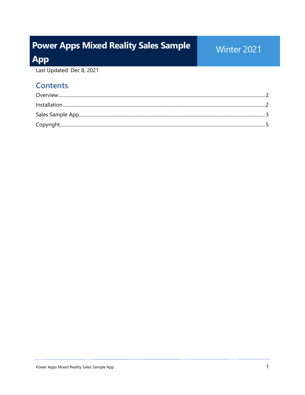# **Power Apps Mixed Reality Sales Sample**

### Winter 2021

**App** 

Last Updated: Dec 8, 2021

#### **Contents**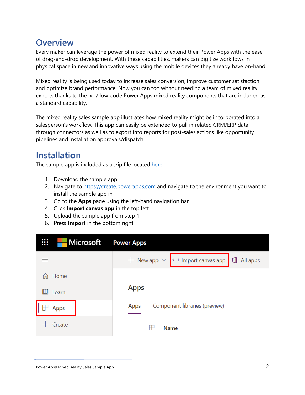#### <span id="page-1-0"></span>**Overview**

Every maker can leverage the power of mixed reality to extend their Power Apps with the ease of drag-and-drop development. With these capabilities, makers can digitize workflows in physical space in new and innovative ways using the mobile devices they already have on-hand.

Mixed reality is being used today to increase sales conversion, improve customer satisfaction, and optimize brand performance. Now you can too without needing a team of mixed reality experts thanks to the no / low-code Power Apps mixed reality components that are included as a standard capability.

The mixed reality sales sample app illustrates how mixed reality might be incorporated into a salesperson's workflow. This app can easily be extended to pull in related CRM/ERP data through connectors as well as to export into reports for post-sales actions like opportunity pipelines and installation approvals/dispatch.

#### <span id="page-1-1"></span>**Installation**

The sample app is included as a .zip file located [here.](https://raw.githubusercontent.com/microsoft/experimental-pcf-control-assets/master/SampleApps/MixedRealitySalesSampleApp.zip)

- 1. Download the sample app
- 2. Navigate to [https://create.powerapps.com](https://create.powerapps.com/) and navigate to the environment you want to install the sample app in
- 3. Go to the **Apps** page using the left-hand navigation bar
- 4. Click **Import canvas app** in the top left
- 5. Upload the sample app from step 1
- 6. Press **Import** in the bottom right

| ₩<br>Microsoft | <b>Power Apps</b>                                            |
|----------------|--------------------------------------------------------------|
|                | + New app $\vee$ $\leftarrow$ Import canvas app 1 1 All apps |
| Home<br>m.     |                                                              |
| Learn          | <b>Apps</b>                                                  |
| <b>Apps</b>    | Component libraries (preview)<br><b>Apps</b>                 |
| Create         | <b>Name</b>                                                  |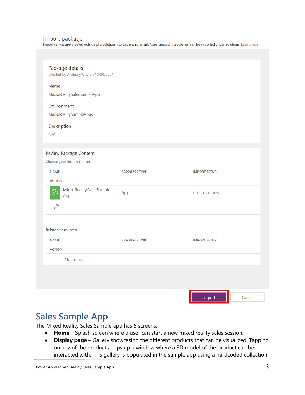#### Import package

Import canvas app created outside of a solution into this environment. Apps created in a solution can be imported under Solutions. Learn more

| Package details<br>Created by Anthony Uitz on 10/29/2021 |                      |                     |        |
|----------------------------------------------------------|----------------------|---------------------|--------|
| Name                                                     |                      |                     |        |
| MixedRealitySalesSampleApp                               |                      |                     |        |
| Environment                                              |                      |                     |        |
| MixedRealitySampleApps                                   |                      |                     |        |
| Description                                              |                      |                     |        |
| N/A                                                      |                      |                     |        |
|                                                          |                      |                     |        |
| Review Package Content                                   |                      |                     |        |
| Choose your import options.                              |                      |                     |        |
| <b>NAME</b>                                              | <b>RESOURCE TYPE</b> | <b>IMPORT SETUP</b> |        |
| <b>ACTION</b>                                            |                      |                     |        |
| MixedRealitySalesSample<br>App                           | App                  | Create as new       |        |
| P                                                        |                      |                     |        |
|                                                          |                      |                     |        |
| Related resources                                        |                      |                     |        |
| <b>NAME</b>                                              | <b>RESOURCE TYPE</b> | <b>IMPORT SETUP</b> |        |
| <b>ACTION</b>                                            |                      |                     |        |
| No items                                                 |                      |                     |        |
|                                                          |                      |                     |        |
|                                                          |                      |                     |        |
|                                                          |                      |                     |        |
|                                                          |                      | Import              | Cancel |

#### <span id="page-2-0"></span>**Sales Sample App**

The Mixed Reality Sales Sample app has 5 screens:

- **Home** Splash screen where a user can start a new mixed reality sales session.
- **Display page** Gallery showcasing the different products that can be visualized. Tapping on any of the products pops up a window where a 3D model of the product can be interacted with. This gallery is populated in the sample app using a hardcoded collection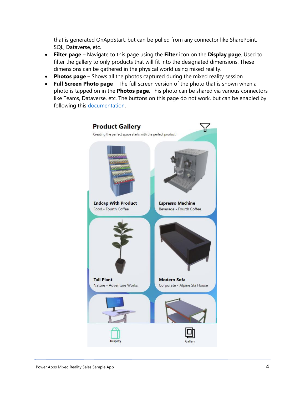that is generated OnAppStart, but can be pulled from any connector like SharePoint, SQL, Dataverse, etc.

- **Filter page** Navigate to this page using the **Filter** icon on the **Display page**. Used to filter the gallery to only products that will fit into the designated dimensions. These dimensions can be gathered in the physical world using mixed reality.
- **Photos page**  Shows all the photos captured during the mixed reality session
- **Full Screen Photo page**  The full screen version of the photo that is shown when a photo is tapped on in the **Photos page**. This photo can be shared via various connectors like Teams, Dataverse, etc. The buttons on this page do not work, but can be enabled by following this [documentation.](https://docs.microsoft.com/powerapps/maker/canvas-apps/mixed-reality-take-upload-photos)